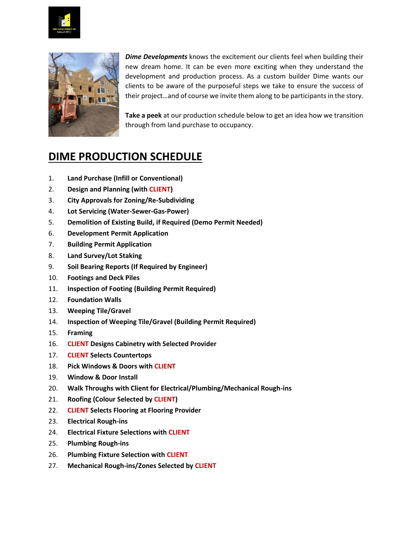



*Dime Developments* knows the excitement our clients feel when building their new dream home. It can be even more exciting when they understand the development and production process. As a custom builder Dime wants our clients to be aware of the purposeful steps we take to ensure the success of their project…and of course we invite them along to be participants in the story.

**Take a peek** at our production schedule below to get an idea how we transition through from land purchase to occupancy.

## **DIME PRODUCTION SCHEDULE**

- 1. **Land Purchase (Infill or Conventional)**
- 2. **Design and Planning (with CLIENT)**
- 3. **City Approvals for Zoning/Re-Subdividing**
- 4. **Lot Servicing (Water-Sewer-Gas-Power)**
- 5. **Demolition of Existing Build, if Required (Demo Permit Needed)**
- 6. **Development Permit Application**
- 7. **Building Permit Application**
- 8. **Land Survey/Lot Staking**
- 9. **Soil Bearing Reports (If Required by Engineer)**
- 10. **Footings and Deck Piles**
- 11. **Inspection of Footing (Building Permit Required)**
- 12. **Foundation Walls**
- 13. **Weeping Tile/Gravel**
- 14. **Inspection of Weeping Tile/Gravel (Building Permit Required)**
- 15. **Framing**
- 16. **CLIENT Designs Cabinetry with Selected Provider**
- 17. **CLIENT Selects Countertops**
- 18. **Pick Windows & Doors with CLIENT**
- 19. **Window & Door Install**
- 20. **Walk Throughs with Client for Electrical/Plumbing/Mechanical Rough-ins**
- 21. **Roofing (Colour Selected by CLIENT)**
- 22. **CLIENT Selects Flooring at Flooring Provider**
- 23. **Electrical Rough-ins**
- 24. **Electrical Fixture Selections with CLIENT**
- 25. **Plumbing Rough-ins**
- 26. **Plumbing Fixture Selection with CLIENT**
- 27. **Mechanical Rough-ins/Zones Selected by CLIENT**